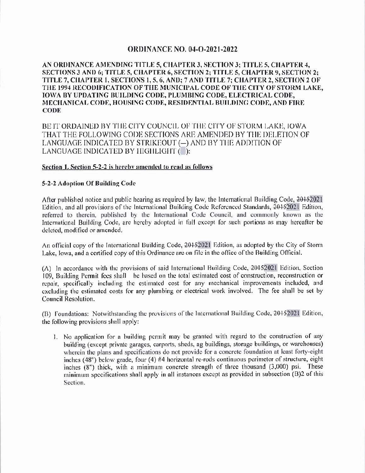# **ORDINANCE NO. 04-O-2021-2022**

## AN ORDINANCE AMENDING TITLE 5, CHAPTER 3, SECTION 3; TITLE 5, CHAPTER 4, SECTIONS 3 AND 6; TITLE 5, CHAPTER 6, SECTION 2; TITLE 5, CHAPTER 9, SECTION 2; TITLE 7, CHAPTER 1, SECTIONS 1, 5, 6, AND; 7 AND TITLE 7; CHAPTER 2, SECTION 2 OF THE 1994 RECODIFICATION OF THE MUNICIPAL CODE OF THE CITY OF STORM LAKE, IOWA BY UPDATING BUILDING CODE, PLUMBING CODE, ELECTRICAL CODE, MECHANICAL CODE, HOUSING CODE, RESIDENTIAL BUILDING CODE, AND FIRE **CODE**

BE IT ORDAINED BY THE CITY COUNCIL OF THE CITY OF STORM LAKE, IOWA THAT THE FOLLOWING CODE SECTIONS ARE AMENDED BY THE DELETION OF LANGUAGE INDICATED BY STRIKEOUT (-) AND BY THE ADDITION OF LANGUAGE INDICATED BY HIGHLIGHT ( ):

## Section 1. Section 5-2-2 is hereby amended to read as follows

## 5-2-2 Adoption Of Building Code

After published notice and public hearing as required by law, the International Building Code, 20152021 Edition, and all provisions of the International Building Code Referenced Standards, 20152021 Edition, referred to therein, published by the International Code Council, and commonly known as the International Building Code, are hereby adopted in full except for such portions as may hereafter be deleted, modified or amended.

An official copy of the International Building Code, 20152021 Edition, as adopted by the City of Storm Lake, Iowa, and a certified copy of this Ordinance are on file in the office of the Building Official.

(A) In accordance with the provisions of said International Building Code, 20152021 Edition, Section 109, Building Permit fees shall be based on the total estimated cost of construction, reconstruction or repair, specifically including the estimated cost for any mechanical improvements included, and excluding the estimated costs for any plumbing or electrical work involved. The fee shall be set by Council Resolution.

(B) Foundations: Notwithstanding the provisions of the International Building Code, 20152021 Edition, the following provisions shall apply:

1. No application for a building permit may be granted with regard to the construction of any building (except private garages, carports, sheds, ag buildings, storage buildings, or warehouses) wherein the plans and specifications do not provide for a concrete foundation at least forty-eight inches (48") below grade, four (4) #4 horizontal re-rods continuous perimeter of structure, eight inches (8") thick, with a minimum concrete strength of three thousand (3,000) psi. These minimum specifications shall apply in all instances except as provided in subsection (B)2 of this Section.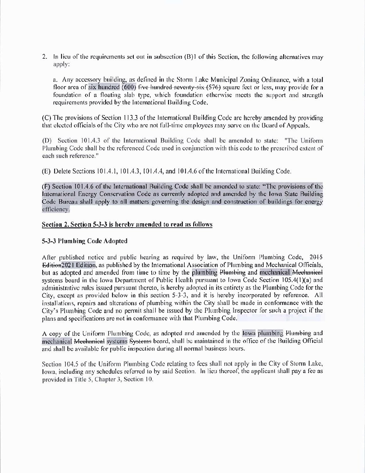2. In lieu of the requirements set out in subsection (B)1 of this Section, the following alternatives may apply:

a. Any accessory building, as defined in the Storm Lake Municipal Zoning Ordinance, with a total floor area of six hundred (600) five hundred seventy-six (576) square feet or less, may provide for a foundation of a floating slab type, which foundation otherwise meets the support and strength requirements provided by the International Building Code,

(C) The provisions of Section 113.3 of the International Building Code are hereby amended by providing that elected officials of the City who are not full-time employees may serve on the Board of Appeals.

(D) Section 101.4.3 of the International Building Code shall be amended to state: "The Uniform Plumbing Code shall be the referenced Code used in conjunction with this code to the prescribed extent of each such reference."

(E) Delete Sections 101.4.1, 101.4.3, 101.4.4, and 101.4.6 of the International Building Code.

(F) Section 101.4.6 of the International Building Code shall be amended to state: "The provisions of the International Energy Conservation Code as currently adopted and amended by the Iowa State Building Code Bureau shall apply to all matters governing the design and construction of buildings for energy efficiency.

## Section 2. Section 5-3-3 is hereby amended to read as follows

## 5-3-3 Plumbing Code Adopted

After published notice and public hearing as required by law, the Uniform Plumbing Code, 2015 Edition 2021 Edition, as published by the International Association of Plumbing and Mechanical Officials, but as adopted and amended from time to time by the plumbing Plumbing and mechanical Mechanical systems board in the Iowa Department of Public Health pursuant to Iowa Code Section 105.4(1)(a) and administrative rules issued pursuant thereto, is hereby adopted in its entirety as the Plumbing Code for the City, except as provided below in this section 5-3-3, and it is hereby incorporated by reference. All installations, repairs and alterations of plumbing within the City shall be made in conformance with the City's Plumbing Code and no permit shall be issued by the Plumbing Inspector for such a project if the plans and specifications are not in conformance with that Plumbing Code.

A copy of the Uniform Plumbing Code, as adopted and amended by the Iowa plumbing Plumbing and mechanical Mechanical systems Systems board, shall be maintained in the office of the Building Official and shall be available for public inspection during all normal business hours.

Section 104.5 of the Uniform Plumbing Code relating to fees shall not apply in the City of Storm Lake, lowa, including any schedules referred to by said Section. In lieu thereof, the applicant shall pay a fee as provided in Title 5, Chapter 3, Section 10.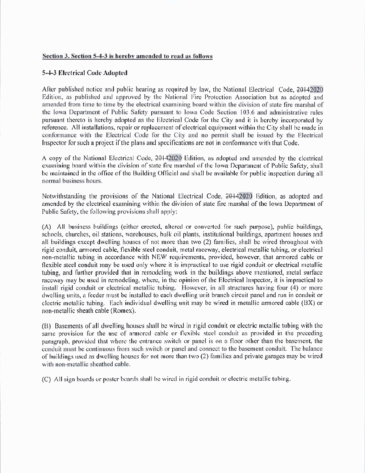## Section 3. Section 5-4-3 is hereby amended to read as follows

#### 5-4-3 Electrical Code Adopted

After published notice and public hearing as required by law, the National Electrical Code, 20142020 Edition, as published and approved by the National Fire Protection Association but as adopted and amended from time to time by the electrical examining board within the division of state fire marshal of the Iowa Department of Public Safety pursuant to Iowa Code Section 103.6 and administrative rules pursuant thereto is hereby adopted as the Electrical Code for the City and it is hereby incorporated by reference. All installations, repair or replacement of electrical equipment within the City shall be made in conformance with the Electrical Code for the City and no permit shall be issued by the Electrical Inspector for such a project if the plans and specifications are not in conformance with that Code.

A copy of the National Electrical Code, 20142020 Edition, as adopted and amended by the electrical examining board within the division of state fire marshal of the Iowa Department of Public Safety, shall be maintained in the office of the Building Official and shall be available for public inspection during all normal business hours.

Notwithstanding the provisions of the National Electrical Code, 20142020 Edition, as adopted and amended by the electrical examining within the division of state fire marshal of the Iowa Department of Public Safety, the following provisions shall apply:

(A) All business buildings (either erected, altered or converted for such purpose), public buildings, schools, churches, oil stations, warehouses, bulk oil plants, institutional buildings, apartment houses and all buildings except dwelling houses of not more than two (2) families, shall be wired throughout with rigid conduit, armored cable, flexible steel conduit, metal raceway, electrical metallic tubing, or electrical non-metallic tubing in accordance with NEW requirements, provided, however, that armored cable or flexible steel conduit may be used only where it is impractical to use rigid conduit or electrical metallic tubing, and further provided that in remodeling work in the buildings above mentioned, metal surface raceway may be used in remodeling, where, in the opinion of the Electrical Inspector, it is impractical to install rigid conduit or electrical metallic tubing. However, in all structures having four (4) or more dwelling units, a feeder must be installed to each dwelling unit branch circuit panel and run in conduit or electric metallic tubing. Each individual dwelling unit may be wired in metallic armored cable (BX) or non-metallic sheath cable (Romex).

(B) Basements of all dwelling houses shall be wired in rigid conduit or electric metallic tubing with the same provision for the use of armored cable or flexible steel conduit as provided in the preceding paragraph, provided that where the entrance switch or panel is on a floor other than the basement, the conduit must be continuous from such switch or panel and connect to the basement conduit. The balance of buildings used as dwelling houses for not more than two (2) families and private garages may be wired with non-metallic sheathed cable.

(C) All sign boards or poster boards shall be wired in rigid conduit or electric metallic tubing.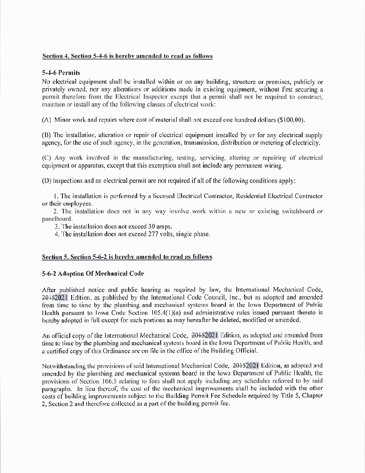## Section 4. Section 5-4-6 is hereby amended to read as follows

## 5-4-6 Permits

No electrical equipment shall be installed within or on any building, structure or premises, publicly or privately owned, nor any alterations or additions made in existing equipment, without first securing a permit therefore from the Electrical Inspector except that a permit shall not be required to construct, maintain or install any of the following classes of electrical work:

(A) Minor work and repairs where cost of material shall not exceed one hundred dollars (\$100.00).

(B) The installation, alteration or repair of electrical equipment installed by or for any electrical supply agency, for the use of such agency, in the generation, transmission, distribution or metering of electricity,

(C) Any work involved in the manufacturing, testing, servicing, altering or repairing of electrical equipment or apparatus, except that this exemption shall not include any permanent wiring.

(D) Inspections and an electrical permit are not required if all of the following conditions apply:

1. The installation is performed by a licensed Electrical Contractor, Residential Electrical Contractor or their employees.

2. The installation does not in any way involve work within a new or existing switchboard or panelboard.

3. The installation does not exceed 30 amps.

4. The installation does not exceed 277 volts, single phase.

## Section 5. Section 5-6-2 is hereby amended to read as follows

## 5-6-2 Adoption Of Mechanical Code

After published notice and public hearing as required by law, the International Mechanical Code, 20152021 Edition, as published by the International Code Council, Inc., but as adopted and amended from time to time by the plumbing and mechanical systems board in the Iowa Department of Public Health pursuant to Iowa Code Section 105.4(1)(a) and administrative rules issued pursuant thereto is hereby adopted in full except for such portions as may hereafter be deleted, modified or amended.

An official copy of the International Mechanical Code, 20152021 Edition, as adopted and amended from time to time by the plumbing and mechanical systems board in the Iowa Department of Public Health, and a certified copy of this Ordinance are on file in the office of the Building Official.

Notwithstanding the provisions of said International Mechanical Code, 20152021 Edition, as adopted and amended by the plumbing and mechanical systems board in the lowa Department of Public Health, the provisions of Section 106.5 relating to fees shall not apply including any schedules referred to by said paragraphs. In lieu thereof, the cost of the mechanical improvements shall be included with the other costs of building improvements subject to the Building Permit Fee Schedule required by Title 5, Chapter 2. Section 2 and therefore collected as a part of the building permit fee.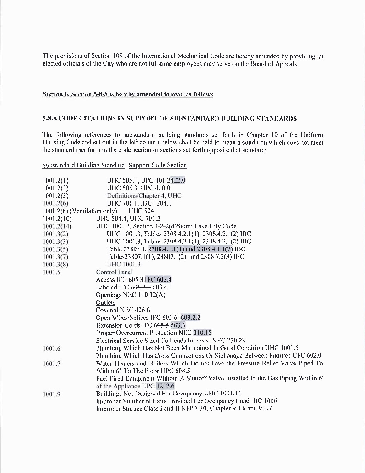The provisions of Section 109 of the International Mechanical Code are hereby amended by providing at elected officials of the City who are not full-time employees may serve on the Board of Appeals.

## Section 6. Section 5-8-8 is hereby amended to read as follows

#### 5-8-8 CODE CITATIONS IN SUPPORT OF SUBSTANDARD BUILDING STANDARDS

The following references to substandard building standards set forth in Chapter 10 of the Uniform Housing Code and set out in the left column below shall be held to mean a condition which does not meet the standards set forth in the code section or sections set forth opposite that standard:

Substandard Building Standard Support Code Section

| 1001.2(1)                                        | UHC 505.1, UPC 401,2422.0                                                          |
|--------------------------------------------------|------------------------------------------------------------------------------------|
| 1001.2(3)                                        | UHC 505.3, UPC 420.0                                                               |
| 1001.2(5)                                        | Definitions/Chapter 4, UHC                                                         |
| 1001.2(6)                                        | UHC 701.1, IBC 1204.1                                                              |
| $1001.2(8)$ (Ventilation only)<br><b>UHC 504</b> |                                                                                    |
| 1001.2(10)                                       | UHC 504.4, UHC 701.2                                                               |
| 1001.2(14)                                       | UHC 1001.2, Section 3-2-2(d)Storm Lake City Code                                   |
| 1001.3(2)                                        | UHC 1001.3, Tables 2308.4.2.1(1), 2308.4.2.1(2) IBC                                |
| 1001.3(3)                                        | UHC 1001.3, Tables 2308.4.2.1(1), 2308.4.2.1(2) IBC                                |
| 1001.3(5)                                        | Table 23805.1, 2308.4.1.1(1) and 2308.4.1.1(2) IBC                                 |
| 1001.3(7)                                        | Tables23807.1(1), 23807.1(2), and 2308.7.2(3) IBC                                  |
| 1001.3(8)                                        | UHC 1001.3                                                                         |
| 1001.5                                           | Control Panel                                                                      |
|                                                  | Access HG 605.3 IFC 603.4                                                          |
|                                                  | Labeled IFC 605.3.1 603.4.1                                                        |
|                                                  | Openings NEC 110.12(A)                                                             |
|                                                  | Outlets                                                                            |
|                                                  | Covered NEC 406.6                                                                  |
|                                                  | Open Wires/Splices IFC 605.6 603.2.2                                               |
|                                                  | Extension Cords IFC 605.5 603.6                                                    |
|                                                  | Proper Overcurrent Protection NEC 310.15                                           |
|                                                  | Electrical Service Sized To Loads Imposed NEC 230.23                               |
| 1001.6                                           | Plumbing Which Has Not Been Maintained In Good Condition UHC 1001.6                |
|                                                  | Plumbing Which Has Cross Connections Or Siphonage Between Fixtures UPC 602.0       |
| 1001.7                                           | Water Heaters and Boilers Which Do not have the Pressure Relief Valve Piped To     |
|                                                  | Within 6" To The Floor UPC 608.5                                                   |
|                                                  | Fuel Fired Equipment Without A Shutoff Valve Installed in the Gas Piping Within 6' |
|                                                  | of the Appliance UPC 1212.6                                                        |
| 1001.9                                           | Buildings Not Designed For Occupancy UHC 1001.14                                   |
|                                                  | Improper Number of Exits Provided For Occupancy Load IBC 1006                      |
|                                                  | Improper Storage Class I and II NFPA 30, Chapter 9.3.6 and 9.3.7                   |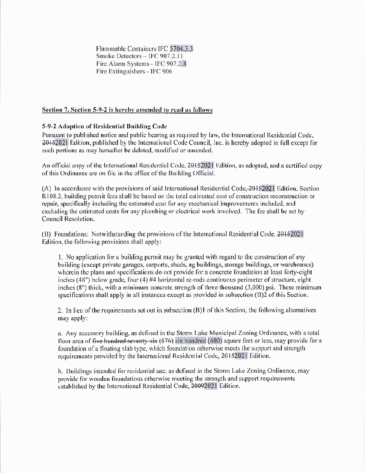Flammable Containers IFC 5704.3.3 Smoke Detectors - IFC 907.2.11 Fire Alarm Systems - IFC 907.2.8 Fire Extinguishers - IFC 906

## Section 7. Section 5-9-2 is hereby amended to read as follows

# 5-9-2 Adoption of Residential Building Code

Pursuant to published notice and public hearing as required by law, the International Residential Code, 20152021 Edition, published by the International Code Council, Inc. is hereby adopted in full except for such portions as may hereafter be deleted, modified or amended.

An official copy of the International Residential Code, 20152021 Edition, as adopted, and a certified copy of this Ordinance are on file in the office of the Building Official.

(A) In accordance with the provisions of said International Residential Code, 20152021 Edition, Section R108.2, building permit fees shall be based on the total estimated cost of construction reconstruction or repair, specifically including the estimated cost for any mechanical improvements included, and excluding the estimated costs for any plumbing or electrical work involved. The fee shall be set by Council Resolution.

(B) Foundations: Notwithstanding the provisions of the International Residential Code, 2015/2021 Edition, the following provisions shall apply:

1. No application for a building permit may be granted with regard to the construction of any building (except private garages, carports, sheds, ag buildings, storage buildings, or warehouses) wherein the plans and specifications do not provide for a concrete foundation at least forty-eight inches (48") below grade, four (4) #4 horizontal re-rods continuous perimeter of structure, eight inches (8") thick, with a minimum concrete strength of three thousand (3,000) psi. These minimum specifications shall apply in all instances except as provided in subsection (B)2 of this Section.

2. In lieu of the requirements set out in subsection (B)1 of this Section, the following alternatives may apply:

a. Any accessory building, as defined in the Storm Lake Municipal Zoning Ordinance, with a total floor area of five hundred seventy six  $(576)$  six hundred  $(600)$  square feet or less, may provide for a foundation of a floating slab type, which foundation otherwise meets the support and strength requirements provided by the International Residential Code, 20152021 Edition.

b. Buildings intended for residential use, as defined in the Storm Lake Zoning Ordinance, may provide for wooden foundations otherwise meeting the strength and support requirements established by the International Residential Code, 20092021 Edition.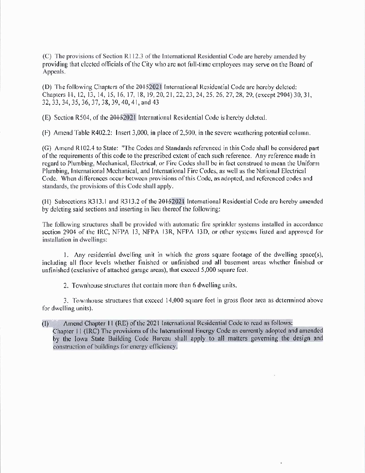(C) The provisions of Section R112.3 of the International Residential Code are hereby amended by providing that elected officials of the City who are not full-time employees may serve on the Board of Appeals.

(D) The following Chapters of the 20152021 International Residential Code are hereby deleted: Chapters 44, 12, 13, 14, 15, 16, 17, 18, 19, 20, 21, 22, 23, 24, 25, 26, 27, 28, 29, (except 2904) 30, 31, 32, 33, 34, 35, 36, 37, 38, 39, 40, 41, and 43

(E) Section R504, of the 20152021 International Residential Code is hereby deleted.

(F) Amend Table R402.2: Insert 3,000, in place of 2,500, in the severe weathering potential column.

(G) Amend R102.4 to State: "The Codes and Standards referenced in this Code shall be considered part of the requirements of this code to the prescribed extent of each such reference. Any reference made in regard to Plumbing, Mechanical, Electrical, or Fire Codes shall be in fact construed to mean the Uniform Plumbing, International Mechanical, and International Fire Codes, as well as the National Electrical Code. When differences occur between provisions of this Code, as adopted, and referenced codes and standards, the provisions of this Code shall apply.

(H) Subsections R313.1 and R313.2 of the 2015/2021 International Residential Code are hereby amended by deleting said sections and inserting in lieu thereof the following:

The following structures shall be provided with automatic fire sprinkler systems installed in accordance section 2904 of the IRC, NFPA 13, NFPA 13R, NFPA 13D, or other systems listed and approved for installation in dwellings:

1. Any residential dwelling unit in which the gross square footage of the dwelling space(s), including all floor levels whether finished or unfinished and all basement areas whether finished or unfinished (exclusive of attached garage areas), that exceed 5,000 square feet.

2. Townhouse structures that contain more than 6 dwelling units.

3. Townhouse structures that exceed 14,000 square feet in gross floor area as determined above for dwelling units).

Amend Chapter 11 (RE) of the 2021 International Residential Code to read as follows:  $(1)$ Chapter 11 (IRC) The provisions of the International Energy Code as currently adopted and amended by the Iowa State Building Code Burcau shall apply to all matters governing the design and construction of buildings for energy efficiency.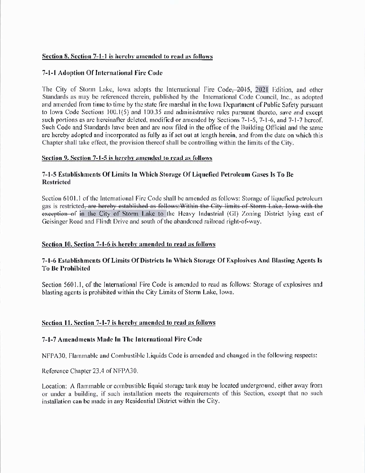# Section 8. Section 7-1-1 is hereby amended to read as follows

# 7-1-1 Adoption Of International Fire Code

The City of Storm Lake, lowa adopts the International Fire Code, 2015, 2021 Edition, and other Standards as may be referenced therein, published by the International Code Council, Inc., as adopted and amended from time to time by the state fire marshal in the lowa Department of Public Safety pursuant to lowa Code Sections 100.1(5) and 100.35 and administrative rules pursuant thereto, save and except such portions as are hereinafter deleted, modified or amended by Sections 7-1-5, 7-1-6, and 7-1-7 hereof. Such Code and Standards have been and are now filed in the office of the Building Official and the same are hereby adopted and incorporated as fully as if set out at length herein, and from the date on which this Chapter shall take effect, the provision thereof shall be controlling within the limits of the City.

# Section 9. Section 7-1-5 is hereby amended to read as follows

# 7-1-5 Establishments Of Limits In Which Storage Of Liquefied Petroleum Gases Is To Be **Restricted**

Section 6101.1 of the International Fire Code shall be amended as follows: Storage of liquefied petroleum gas is restricted, are hereby established as follows: Within the City limits of Storm Lake, Iowa with the exception of in the City of Storm Lake to the Heavy Industrial (GI) Zoning District lying east of Geisinger Road and Flindt Drive and south of the abandoned railroad right-of-way.

# Section 10. Section 7-1-6 is hereby amended to read as follows

# 7-1-6 Establishments Of Limits Of Districts In Which Storage Of Explosives And Blasting Agents Is **To Be Prohibited**

Section 5601.1, of the International Fire Code is amended to read as follows: Storage of explosives and blasting agents is prohibited within the City Limits of Storm Lake, Iowa.

# Section 11. Section 7-1-7 is hereby amended to read as follows

## 7-1-7 Amendments Made In The International Fire Code

NFPA30. Flammable and Combustible Liquids Code is amended and changed in the following respects:

Reference Chapter 23.4 of NFPA30.

Location: A flammable or combustible liquid storage tank may be located underground, either away from or under a building, if such installation meets the requirements of this Section, except that no such installation can be made in any Residential District within the City.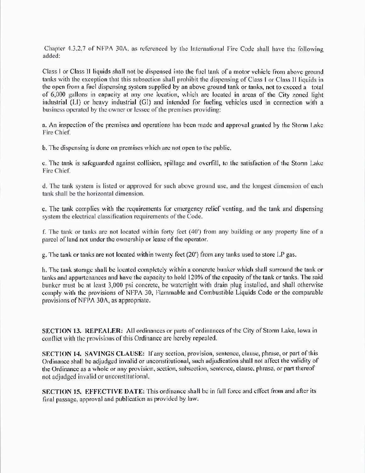Chapter 4.3.2.7 of NFPA 30A, as referenced by the International Fire Code shall have the following added:

Class I or Class II liquids shall not be dispensed into the fuel tank of a motor vehicle from above ground tanks with the exception that this subsection shall prohibit the dispensing of Class I or Class II liquids in the open from a fuel dispensing system supplied by an above ground tank or tanks, not to exceed a total of 6,000 gallons in capacity at any one location, which are located in areas of the City zoned light industrial (LI) or heavy industrial (GI) and intended for fueling vehicles used in connection with a business operated by the owner or lessee of the premises providing:

a. An inspection of the premises and operations has been made and approval granted by the Storm Lake Fire Chief.

b. The dispensing is done on premises which are not open to the public.

e. The tank is safeguarded against collision, spillage and overfill, to the satisfaction of the Storm Lake Fire Chief.

d. The tank system is listed or approved for such above ground use, and the longest dimension of each tank shall be the horizontal dimension.

e. The tank complies with the requirements for emergency relief venting, and the tank and dispensing system the electrical classification requirements of the Code.

f. The tank or tanks are not located within forty feet (40') from any building or any property line of a parcel of land not under the ownership or lease of the operator.

g. The tank or tanks are not located within twenty feet (20') from any tanks used to store LP gas.

h. The tank storage shall be located completely within a concrete bunker which shall surround the tank or tanks and appurtenances and have the capacity to hold 120% of the capacity of the tank or tanks. The said bunker must be at least 3,000 psi concrete, be watertight with drain plug installed, and shall otherwise comply with the provisions of NFPA 30, Flammable and Combustible Liquids Code or the comparable provisions of NFPA 30A, as appropriate.

**SECTION 13. REPEALER:** All ordinances or parts of ordinances of the City of Storm Lake, lowa in conflict with the provisions of this Ordinance are hereby repealed.

SECTION 14. SAVINGS CLAUSE: If any section, provision, sentence, clause, phrase, or part of this Ordinance shall be adjudged invalid or unconstitutional, such adjudication shall not affect the validity of the Ordinance as a whole or any provision, section, subsection, sentence, clause, phrase, or part thereof not adjudged invalid or unconstitutional.

SECTION 15. EFFECTIVE DATE: This ordinance shall be in full force and effect from and after its final passage, approval and publication as provided by law.